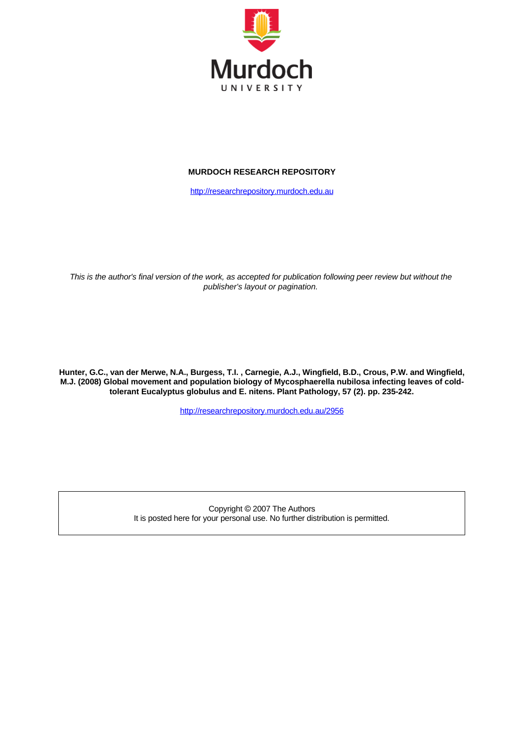

#### **MURDOCH RESEARCH REPOSITORY**

[http://researchrepository.murdoch.edu.au](http://researchrepository.murdoch.edu.au/)

*This is the author's final version of the work, as accepted for publication following peer review but without the publisher's layout or pagination.*

**Hunter, G.C., van der Merwe, N.A., Burgess, T.I. , Carnegie, A.J., Wingfield, B.D., Crous, P.W. and Wingfield, M.J. (2008) Global movement and population biology of Mycosphaerella nubilosa infecting leaves of coldtolerant Eucalyptus globulus and E. nitens. Plant Pathology, 57 (2). pp. 235-242.**

<http://researchrepository.murdoch.edu.au/2956>

Copyright © 2007 The Authors It is posted here for your personal use. No further distribution is permitted.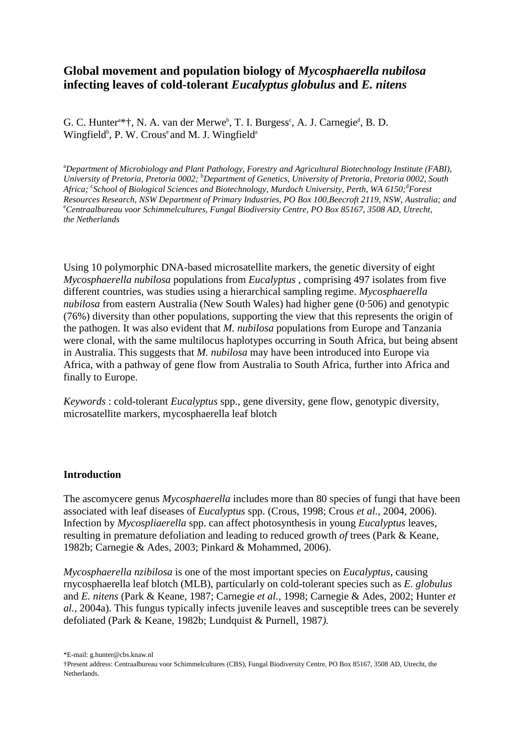# **Global movement and population biology of** *Mycosphaerella nubilosa*  **infecting leaves of cold-tolerant** *Eucalyptus globulus* **and** *E. nitens*

G. C. Hunter<sup>a\*†</sup>, N. A. van der Merwe<sup>b</sup>, T. I. Burgess<sup>c</sup>, A. J. Carnegie<sup>d</sup>, B. D. Wingfield<sup>b</sup>, P. W. Crous<sup>e</sup> and M. J. Wingfield<sup>a</sup>

a *Department of Microbiology and Plant Pathology, Forestry and Agricultural Biotechnology Institute (FABI), University of Pretoria, Pretoria 0002;* <sup>b</sup> *Department of Genetics, University of Pretoria, Pretoria 0002, South*  Africa; <sup>c</sup>School of Biological Sciences and Biotechnology, Murdoch University, Perth, WA 6150;<sup>d</sup>Forest *Resources Research, NSW Department of Primary Industries, PO Box 100,Beecroft 2119, NSW, Australia; and* e *Centraalbureau voor Schimmelcultures, Fungal Biodiversity Centre, PO Box 85167, 3508 AD, Utrecht, the Netherlands*

Using 10 polymorphic DNA-based microsatellite markers, the genetic diversity of eight *Mycosphaerella nubilosa* populations from *Eucalyptus* , comprising 497 isolates from five different countries, was studies using a hierarchical sampling regime. *Mycosphaerella nubilosa* from eastern Australia (New South Wales) had higher gene (0·506) and genotypic (76%) diversity than other populations, supporting the view that this represents the origin of the pathogen. It was also evident that *M. nubilosa* populations from Europe and Tanzania were clonal, with the same multilocus haplotypes occurring in South Africa, but being absent in Australia. This suggests that *M. nubilosa* may have been introduced into Europe via Africa, with a pathway of gene flow from Australia to South Africa, further into Africa and finally to Europe.

*Keywords* : cold-tolerant *Eucalyptus* spp., gene diversity, gene flow, genotypic diversity, microsatellite markers, mycosphaerella leaf blotch

#### **Introduction**

The ascomycere genus *Mycosphaerella* includes more than 80 species of fungi that have been associated with leaf diseases of *Eucalyptus* spp. (Crous, 1998; Crous *et al.,* 2004, 2006). Infection by *Mycospliaerella* spp. can affect photosynthesis in young *Eucalyptus* leaves, resulting in premature defoliation and leading to reduced growth *of* trees (Park & Keane, 1982b; Carnegie & Ades, 2003; Pinkard & Mohammed, 2006).

*Mycosphaerella nzibilosa* is one of the most important species on *Eucalyptus,* causing rnycosphaerella leaf blotch (MLB), particularly on cold-tolerant species such as *E. globulus*  and *E. nitens* (Park & Keane, 1987; Carnegie *et al.,* 1998; Carnegie & Ades, 2002; Hunter *et al.,* 2004a). This fungus typically infects juvenile leaves and susceptible trees can be severely defoliated (Park & Keane, 1982b; Lundquist & Purnell, 1987*).*

\*E-mail: g.hunter@cbs.knaw.nl

<sup>†</sup>Present address: Centraalbureau voor Schimmelcultures (CBS), Fungal Biodiversity Centre, PO Box 85167, 3508 AD, Utrecht, the Netherlands.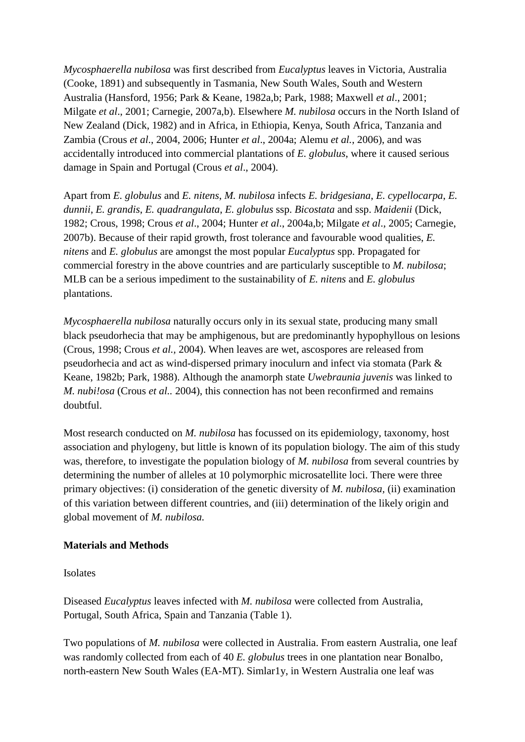*Mycosphaerella nubilosa* was first described from *Eucalyptus* leaves in Victoria, Australia (Cooke, 1891) and subsequently in Tasmania, New South Wales, South and Western Australia (Hansford, 1956; Park & Keane, 1982a,b; Park, 1988; Maxwell *et al*., 2001; Milgate *et al*., 2001; Carnegie, 2007a,b). Elsewhere *M. nubilosa* occurs in the North Island of New Zealand (Dick, 1982) and in Africa, in Ethiopia, Kenya, South Africa, Tanzania and Zambia (Crous *et al*., 2004, 2006; Hunter *et al*., 2004a; Alemu *et al.*, 2006), and was accidentally introduced into commercial plantations of *E. globulus*, where it caused serious damage in Spain and Portugal (Crous *et al*., 2004).

Apart from *E. globulus* and *E. nitens*, *M. nubilosa* infects *E. bridgesiana*, *E. cypellocarpa*, *E. dunnii*, *E. grandis*, *E. quadrangulata*, *E. globulus* ssp. *Bicostata* and ssp. *Maidenii* (Dick, 1982; Crous, 1998; Crous *et al*., 2004; Hunter *et al*., 2004a,b; Milgate *et al*., 2005; Carnegie, 2007b). Because of their rapid growth, frost tolerance and favourable wood qualities, *E. nitens* and *E. globulus* are amongst the most popular *Eucalyptus* spp. Propagated for commercial forestry in the above countries and are particularly susceptible to *M. nubilosa*; MLB can be a serious impediment to the sustainability of *E. nitens* and *E. globulus* plantations.

*Mycosphaerella nubilosa* naturally occurs only in its sexual state, producing many small black pseudorhecia that may be amphigenous, but are predominantly hypophyllous on lesions (Crous, 1998; Crous *et al.,* 2004). When leaves are wet, ascospores are released from pseudorhecia and act as wind-dispersed primary inoculurn and infect via stomata (Park & Keane, 1982b; Park, 1988). Although the anamorph state *Uwebraunia juvenis* was linked to *M. nubi!osa* (Crous *et al..* 2004), this connection has not been reconfirmed and remains doubtful.

Most research conducted on *M. nubilosa* has focussed on its epidemiology, taxonomy, host association and phylogeny, but little is known of its population biology. The aim of this study was, therefore, to investigate the population biology of *M. nubilosa* from several countries by determining the number of alleles at 10 polymorphic microsatellite loci. There were three primary objectives: (i) consideration of the genetic diversity of *M. nubilosa,* (ii) examination of this variation between different countries, and (iii) determination of the likely origin and global movement of *M. nubilosa.* 

## **Materials and Methods**

Isolates

Diseased *Eucalyptus* leaves infected with *M. nubilosa* were collected from Australia, Portugal, South Africa, Spain and Tanzania (Table 1).

Two populations of *M. nubilosa* were collected in Australia. From eastern Australia, one leaf was randomly collected from each of 40 *E. globulus* trees in one plantation near Bonalbo, north-eastern New South Wales (EA-MT). Simlar1y, in Western Australia one leaf was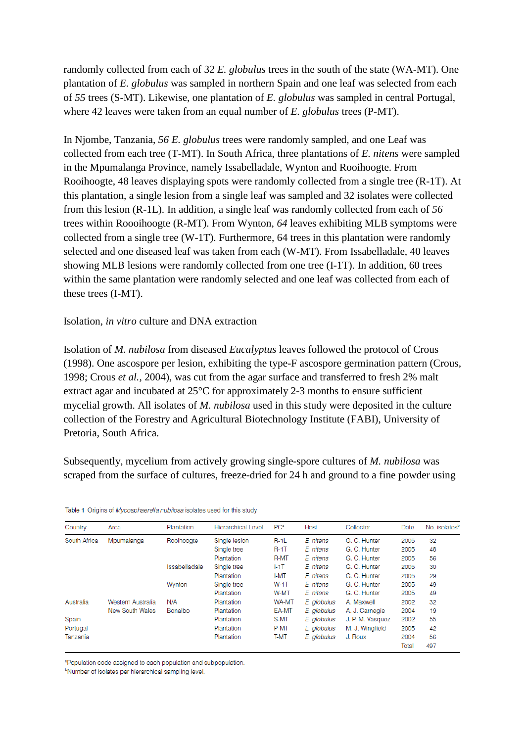randomly collected from each of 32 *E. globulus* trees in the south of the state (WA-MT). One plantation of *E. globulus* was sampled in northern Spain and one leaf was selected from each of *55* trees (S-MT). Likewise, one plantation of *E. globulus* was sampled in central Portugal, where 42 leaves were taken from an equal number of *E. globulus* trees (P-MT).

In Njombe, Tanzania, *56 E. globulus* trees were randomly sampled, and one Leaf was collected from each tree (T-MT). In South Africa, three plantations of *E. nitens* were sampled in the Mpumalanga Province, namely Issabelladale, Wynton and Rooihoogte. From Rooihoogte, 48 leaves displaying spots were randomly collected from a single tree (R-1T). At this plantation, a single lesion from a single leaf was sampled and 32 isolates were collected from this lesion (R-1L). In addition, a single leaf was randomly collected from each of *56*  trees within Roooihoogte (R-MT). From Wynton, *64* leaves exhibiting MLB symptoms were collected from a single tree (W-1T). Furthermore, 64 trees in this plantation were randomly selected and one diseased leaf was taken from each (W-MT). From Issabelladale, 40 leaves showing MLB lesions were randomly collected from one tree (I-1T). In addition, 60 trees within the same plantation were randomly selected and one leaf was collected from each of these trees (I-MT).

### Isolation, *in vitro* culture and DNA extraction

Isolation of *M. nubilosa* from diseased *Eucalyptus* leaves followed the protocol of Crous (1998). One ascospore per lesion, exhibiting the type-F ascospore germination pattern (Crous, 1998; Crous *et al.,* 2004), was cut from the agar surface and transferred to fresh 2% malt extract agar and incubated at 25°C for approximately 2-3 months to ensure sufficient mycelial growth. All isolates of *M. nubilosa* used in this study were deposited in the culture collection of the Forestry and Agricultural Biotechnology Institute (FABI), University of Pretoria, South Africa.

Subsequently, mycelium from actively growing single-spore cultures of *M. nubilosa* was scraped from the surface of cultures, freeze-dried for 24 h and ground to a fine powder using

|  |  | Table 1 Origins of Mycosphaerella nubilosa isolates used for this study |  |  |  |  |  |
|--|--|-------------------------------------------------------------------------|--|--|--|--|--|
|--|--|-------------------------------------------------------------------------|--|--|--|--|--|

| Country      | Area              | Plantation    | <b>Hierarchical Level</b> | PC <sup>a</sup> | Host        | Collector        | Date  | No. isolates <sup>b</sup> |
|--------------|-------------------|---------------|---------------------------|-----------------|-------------|------------------|-------|---------------------------|
| South Africa | Mpumalanga        | Rooihoogte    | Single lesion             | $R-1L$          | E. nitens   | G. C. Hunter     | 2005  | 32                        |
|              |                   |               | Single tree               | $R-1$ T         | E. nitens   | G. C. Hunter     | 2005  | 48                        |
|              |                   |               | Plantation                | R-MT            | E. nitens   | G. C. Hunter     | 2005  | 56                        |
|              |                   | Issabelladale | Single tree               | I-1T            | E. nitens   | G. C. Hunter     | 2005  | 30                        |
|              |                   |               | Plantation                | <b>I-MT</b>     | E. nitens   | G. C. Hunter     | 2005  | 29                        |
|              |                   | Wynton        | Single tree               | W-1T            | E. nitens   | G. C. Hunter     | 2005  | 49                        |
|              |                   |               | Plantation                | W-MT            | E. nitens   | G. C. Hunter     | 2005  | 49                        |
| Australia    | Western Australia | N/A           | Plantation                | WA-MT           | E. globulus | A. Maxwell       | 2002  | 32                        |
|              | New South Wales   | Bonalbo       | Plantation                | EA-MT           | E. alobulus | A. J. Carnegie   | 2004  | 19                        |
| Spain        |                   |               | Plantation                | S-MT            | E. globulus | J. P. M. Vasquez | 2002  | 55                        |
| Portugal     |                   |               | Plantation                | P-MT            | E. globulus | M. J. Wingfield  | 2005  | 42                        |
| Tanzania     |                   |               | Plantation                | T-MT            | E. globulus | J. Roux          | 2004  | 56                        |
|              |                   |               |                           |                 |             |                  | Total | 497                       |

<sup>a</sup>Population code assigned to each population and subpopulation.

<sup>b</sup>Number of isolates per hierarchical sampling level.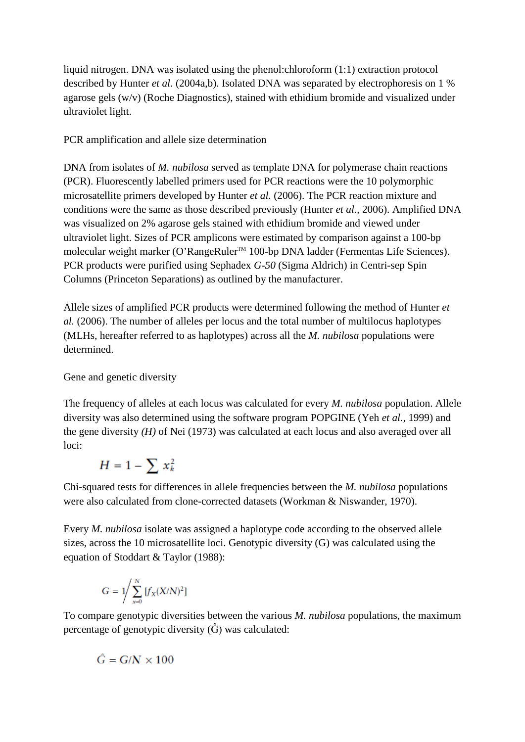liquid nitrogen. DNA was isolated using the phenol:chloroform (1:1) extraction protocol described by Hunter *et al.* (2004a,b). Isolated DNA was separated by electrophoresis on 1 % agarose gels (w/v) (Roche Diagnostics), stained with ethidium bromide and visualized under ultraviolet light.

PCR amplification and allele size determination

DNA from isolates of *M. nubilosa* served as template DNA for polymerase chain reactions (PCR). Fluorescently labelled primers used for PCR reactions were the 10 polymorphic microsatellite primers developed by Hunter *et al.* (2006). The PCR reaction mixture and conditions were the same as those described previously (Hunter *et al.,* 2006). Amplified DNA was visualized on 2% agarose gels stained with ethidium bromide and viewed under ultraviolet light. Sizes of PCR amplicons were estimated by comparison against a 100-bp molecular weight marker (O'RangeRuler™ 100-bp DNA ladder (Fermentas Life Sciences). PCR products were purified using Sephadex *G-50* (Sigma Aldrich) in Centri-sep Spin Columns (Princeton Separations) as outlined by the manufacturer.

Allele sizes of amplified PCR products were determined following the method of Hunter *et al.* (2006). The number of alleles per locus and the total number of multilocus haplotypes (MLHs, hereafter referred to as haplotypes) across all the *M. nubilosa* populations were determined.

## Gene and genetic diversity

The frequency of alleles at each locus was calculated for every *M. nubilosa* population. Allele diversity was also determined using the software program POPGINE (Yeh *et al.,* 1999) and the gene diversity *(H)* of Nei (1973) was calculated at each locus and also averaged over all loci:

$$
H=1-\sum x_k^2
$$

Chi-squared tests for differences in allele frequencies between the *M. nubilosa* populations were also calculated from clone-corrected datasets (Workman & Niswander, 1970).

Every *M. nubilosa* isolate was assigned a haplotype code according to the observed allele sizes, across the 10 microsatellite loci. Genotypic diversity (G) was calculated using the equation of Stoddart & Taylor (1988):

$$
G = 1 / \sum_{x=0}^{N} [f_X(X/N)^2]
$$

To compare genotypic diversities between the various *M. nubilosa* populations, the maximum percentage of genotypic diversity  $(\hat{G})$  was calculated:

$$
\hat{G}=G/N\times 100
$$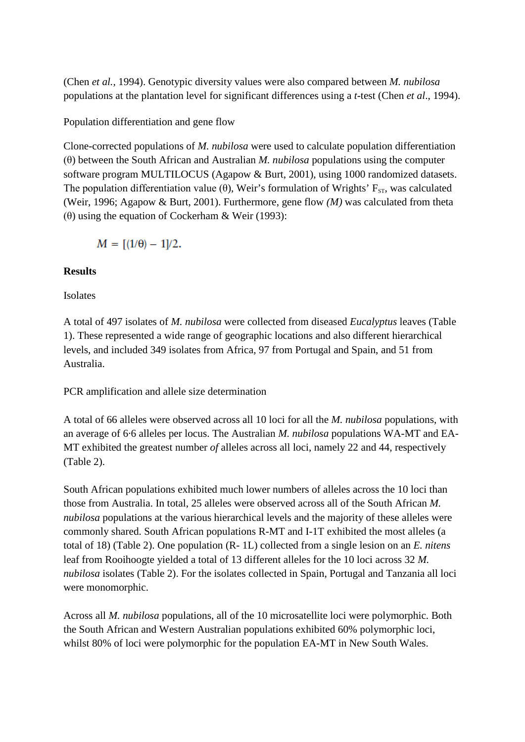(Chen *et al.,* 1994). Genotypic diversity values were also compared between *M. nubilosa*  populations at the plantation level for significant differences using a *t*-test (Chen *et al*., 1994).

Population differentiation and gene flow

Clone-corrected populations of *M. nubilosa* were used to calculate population differentiation (θ) between the South African and Australian *M. nubilosa* populations using the computer software program MULTILOCUS (Agapow & Burt, 2001), using 1000 randomized datasets. The population differentiation value (θ), Weir's formulation of Wrights'  $F_{ST}$ , was calculated (Weir, 1996; Agapow & Burt, 2001). Furthermore, gene flow *(M)* was calculated from theta (θ) using the equation of Cockerham & Weir (1993):

$$
M = [(1/\theta) - 1]/2.
$$

## **Results**

Isolates

A total of 497 isolates of *M. nubilosa* were collected from diseased *Eucalyptus* leaves (Table 1). These represented a wide range of geographic locations and also different hierarchical levels, and included 349 isolates from Africa, 97 from Portugal and Spain, and 51 from Australia.

PCR amplification and allele size determination

A total of 66 alleles were observed across all 10 loci for all the *M. nubilosa* populations, with an average of 6·6 alleles per locus. The Australian *M. nubilosa* populations WA-MT and EA-MT exhibited the greatest number *of* alleles across all loci, namely 22 and 44, respectively (Table 2).

South African populations exhibited much lower numbers of alleles across the 10 loci than those from Australia. In total, 25 alleles were observed across all of the South African *M. nubilosa* populations at the various hierarchical levels and the majority of these alleles were commonly shared. South African populations R-MT and I-1T exhibited the most alleles (a total of 18) (Table 2). One population (R- 1L) collected from a single lesion on an *E. nitens*  leaf from Rooihoogte yielded a total of 13 different alleles for the 10 loci across 32 *M. nubilosa* isolates (Table 2). For the isolates collected in Spain, Portugal and Tanzania all loci were monomorphic.

Across all *M. nubilosa* populations, all of the 10 microsatellite loci were polymorphic. Both the South African and Western Australian populations exhibited 60% polymorphic loci, whilst 80% of loci were polymorphic for the population EA-MT in New South Wales.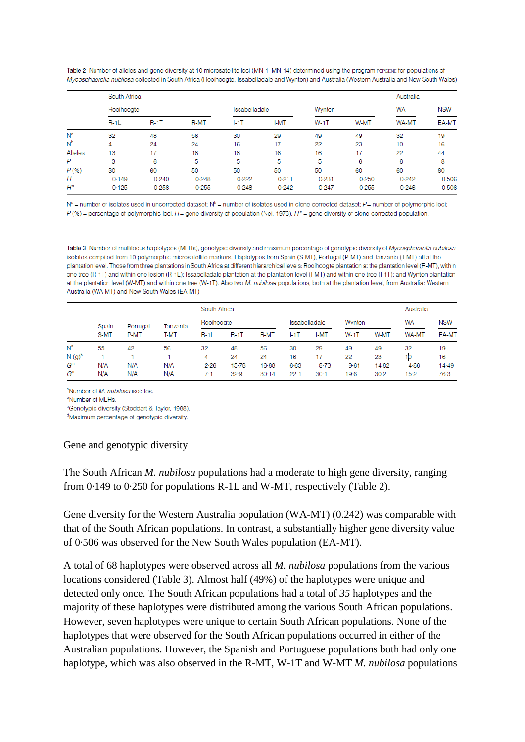Table 2 Number of alleles and gene diversity at 10 microsatellite loci (MN-1-MN-14) determined using the program POPGENE for populations of Mycosphaerella nubilosa collected in South Africa (Rooihoogte, Issabelladale and Wynton) and Australia (Western Australia and New South Wales)

|                | South Africa | Australia   |             |               |       |        |       |              |            |
|----------------|--------------|-------------|-------------|---------------|-------|--------|-------|--------------|------------|
|                | Rooihoogte   |             |             | Issabelladale |       | Wynton |       | <b>WA</b>    | <b>NSW</b> |
|                | $R-1L$       | <b>R-1T</b> | <b>R-MT</b> | $I-1$ T       | I-MT  | $W-1T$ | W-MT  | <b>WA-MT</b> | EA-MT      |
| N <sup>a</sup> | 32           | 48          | 56          | 30            | 29    | 49     | 49    | 32           | 19         |
| N <sup>b</sup> | 4            | 24          | 24          | 16            | 17    | 22     | 23    | 10           | 16         |
| Alleles        | 13           | 17          | 18          | 18            | 16    | 16     | 17    | 22           | 44         |
| P              | 3            | 6           | 5           | 5             | 5     | 5      | 6     | 6            | 8          |
| $P$ (%)        | 30           | 60          | 50          | 50            | 50    | 50     | 60    | 60           | 80         |
| Н              | 0.149        | 0.240       | 0.248       | 0.222         | 0.211 | 0.231  | 0.250 | 0.242        | 0.506      |
| $H^*$          | 0.125        | 0.258       | 0.255       | 0.248         | 0.242 | 0.247  | 0.255 | 0.246        | 0.506      |

 $N^a$  = number of isolates used in uncorrected dataset;  $N^b$  = number of isolates used in clone-corrected dataset;  $P$  = number of polymorphic loci;  $P$ (%) = percentage of polymorphic loci; H = gene diversity of population (Nei, 1973); H\* = gene diversity of clone-corrected population.

Table 3 Number of multilocus haplotypes (MLHs), genotypic diversity and maximum percentage of genotypic diversity of Mycosphaerella nubilosa isolates compiled from 10 polymorphic microsatellite markers. Haplotypes from Spain (S-MT), Portugal (P-MT) and Tanzania (T-MT) all at the plantation level. Those from three plantations in South Africa at different hierarchical levels: Rooihoogte plantation at the plantation level (R-MT), within one tree (R-1T) and within one lesion (R-1L); Issabelladale plantation at the plantation level (I-MT) and within one tree (I-1T); and Wynton plantation at the plantation level (W-MT) and within one tree (W-1T). Also two M. nubilosa populations, both at the plantation level, from Australia: Western Australia (WA-MT) and New South Wales (EA-MT)

|          | Spain<br>Portugal<br>S-MT<br>P-MT |     |          | South Africa |         |               |          |          |          |           |              |       |
|----------|-----------------------------------|-----|----------|--------------|---------|---------------|----------|----------|----------|-----------|--------------|-------|
|          |                                   |     | Tanzania | Rooihoogte   |         | Issabelladale |          | Wynton   |          | WA        | <b>NSW</b>   |       |
|          |                                   |     | T-MT     | $R-1L$       | $R-1$ T | <b>R-MT</b>   | $ -1$ T  | I-MT     | $W-1T$   | W-MT      | <b>WA-MT</b> | EA-MT |
| $N^a$    | 55                                | 42  | 56       | 32           | 48      | 56            | 30       | 29       | 49       | 49        | 32           | 19    |
| $N(g)^b$ |                                   |     |          | 4            | 24      | 24            | 16       | 17       | 22       | 23        | 10           | 16    |
| $G^c$    | N/A                               | N/A | N/A      | 2.26         | 15.78   | 16.88         | $6 - 63$ | $8 - 73$ | $9 - 61$ | $14 - 82$ | 4.86         | 14.49 |
| Ĝª       | N/A                               | N/A | N/A      | 7.1          | 32.9    | 30.14         | $22 - 1$ | $30-1$   | 19-6     | 30.2      | $15-2$       | 76.3  |

<sup>a</sup>Number of *M. nubilosa* isolates.

<sup>b</sup>Number of MLHs.

<sup>c</sup>Genotypic diversity (Stoddart & Taylor, 1988).

<sup>d</sup>Maximum percentage of genotypic diversity.

#### Gene and genotypic diversity

The South African *M. nubilosa* populations had a moderate to high gene diversity, ranging from 0·149 to 0·250 for populations R-1L and W-MT, respectively (Table 2).

Gene diversity for the Western Australia population (WA-MT) (0.242) was comparable with that of the South African populations. In contrast, a substantially higher gene diversity value of 0·506 was observed for the New South Wales population (EA-MT).

A total of 68 haplotypes were observed across all *M. nubilosa* populations from the various locations considered (Table 3). Almost half (49%) of the haplotypes were unique and detected only once. The South African populations had a total of *35* haplotypes and the majority of these haplotypes were distributed among the various South African populations. However, seven haplotypes were unique to certain South African populations. None of the haplotypes that were observed for the South African populations occurred in either of the Australian populations. However, the Spanish and Portuguese populations both had only one haplotype, which was also observed in the R-MT, W-1T and W-MT *M. nubilosa* populations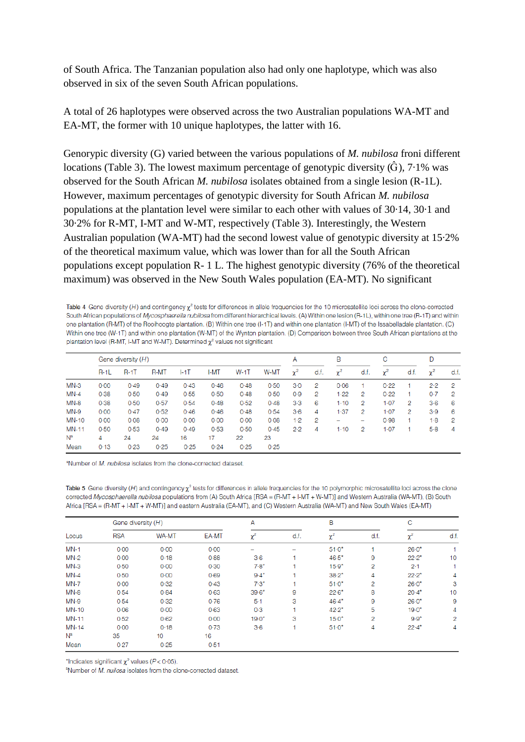of South Africa. The Tanzanian population also had only one haplotype, which was also observed in six of the seven South African populations.

A total of 26 haplotypes were observed across the two Australian populations WA-MT and EA-MT, the former with 10 unique haplotypes, the latter with 16.

Genorypic diversity (G) varied between the various populations of *M. nubilosa* froni different locations (Table 3). The lowest maximum percentage of genotypic diversity  $(\hat{G})$ , 7.1% was observed for the South African *M. nubilosa* isolates obtained from a single lesion (R-1L). However, maximum percentages of genotypic diversity for South African *M. nubilosa*  populations at the plantation level were similar to each other with values of 30·14, 30·1 and 30·2% for R-MT, I-MT and W-MT, respectively (Table 3). Interestingly, the Western Australian population (WA-MT) had the second lowest value of genotypic diversity at 15·2% of the theoretical maximum value, which was lower than for all the South African populations except population R- 1 L. The highest genotypic diversity (76% of the theoretical maximum) was observed in the New South Wales population (EA-MT). No significant

Table 4 Gene diversity (H) and contingency  $\chi^2$  tests for differences in allele frequencies for the 10 microsatellite loci across the clone-corrected South African populations of *Mycosphaerella nubilosa* from different hierarchical levels. (A) Within one lesion (R-1L), within one tree (R-1T) and within one plantation (R-MT) of the Rooihoogte plantation. (B) Within one tree (I-1T) and within one plantation (I-MT) of the Issabelladale plantation. (C) Within one tree (W-1T) and within one plantation (W-MT) of the Wynton plantation. (D) Comparison between three South African plantations at the plantation level (R-MT, I-MT and W-MT). Determined  $\chi^2$  values not significant

|              | Gene diversity (H) |        |             |         |      |      |      | А        |      | B        |      | С        |      | D        |     |
|--------------|--------------------|--------|-------------|---------|------|------|------|----------|------|----------|------|----------|------|----------|-----|
|              | $R-1L$             | $R-1T$ | <b>R-MT</b> | $ -1$ T | I-MT | W-1T | W-MT | $\chi^2$ | d.f. | $\chi^2$ | d.f. | $\chi^2$ | d.f. | $\chi^2$ | d.f |
| $MN-3$       | 0.00               | 0.49   | 0.49        | 0.43    | 0.46 | 0.48 | 0.50 | $3-0$    | 2    | 0.06     | 1    | 0.22     |      | 2.2      | 2   |
| $MN-4$       | 0.38               | 0.50   | 0.49        | 0.55    | 0.50 | 0.48 | 0.50 | 0.9      | 2    | 1.22     | 2    | 0.22     |      | 0.7      | 2   |
| $MN-8$       | 0.38               | 0.50   | 0.57        | 0.54    | 0.48 | 0.52 | 0.48 | $3-3$    | 6    | $1-10$   | 2    | $1-07$   | 2    | $3-6$    | 6   |
| $MN-9$       | 0.00               | 0.47   | 0.52        | 0.46    | 0.46 | 0.48 | 0.54 | $3-6$    | 4    | 1.37     | 2    | $1-07$   | 2    | 3.9      | 6   |
| <b>MN-10</b> | 0.00               | 0.08   | 0.00        | 0.00    | 0.00 | 0.00 | 0.08 | 1.2      | 2    | -        | -    | 0.98     |      | $1-8$    | 2   |
| <b>MN-11</b> | 0.50               | 0.53   | 0.49        | 0.49    | 0.53 | 0.50 | 0.45 | $2-2$    | 4    | $1-10$   | 2    | $1-07$   |      | $5-8$    | 4   |
| $N^a$        | 4                  | 24     | 24          | 16      | 17   | 22   | 23   |          |      |          |      |          |      |          |     |
| Mean         | 0.13               | 0.23   | 0.25        | 0.25    | 0.24 | 0.25 | 0.25 |          |      |          |      |          |      |          |     |

<sup>a</sup>Number of *M. nubilosa* isolates from the clone-corrected dataset.

Table 5 Gene diversity (H) and contingency  $\chi^2$  tests for differences in allele frequencies for the 10 polymorphic microsatellite loci across the clone corrected Mycosphaerella nubilosa populations from (A) South Africa [RSA = (R-MT + I-MT + W-MT)] and Western Australia (WA-MT), (B) South Africa [RSA = (R-MT + I-MT + W-MT)] and eastern Australia (EA-MT), and (C) Western Australia (WA-MT) and New South Wales (EA-MT)

| Locus        | Gene diversity (H) |          |       | Α        |      | B        |      | C        |      |
|--------------|--------------------|----------|-------|----------|------|----------|------|----------|------|
|              | <b>RSA</b>         | WA-MT    | EA-MT | $\chi^2$ | d.f. | $\chi^2$ | d.f. | $\chi^2$ | d.f. |
| $MN-1$       | $0 - 00$           | $0 - 00$ | 0.00  |          |      | $51.0*$  |      | $26.0*$  |      |
| <b>MN-2</b>  | 0.00               | 0.18     | 0.88  | $3-6$    |      | $46.5*$  | 9    | $22.2*$  | 10   |
| $MN-3$       | 0.50               | 0.00     | 0.30  | $7.8*$   |      | $15.9*$  | 2    | $2 - 1$  |      |
| $MN-4$       | 0.50               | 0.00     | 0.69  | $9.4*$   |      | $38.2*$  | 4    | $22.2*$  | 4    |
| <b>MN-7</b>  | 0.00               | 0.32     | 0.43  | $7.3*$   |      | $51.0*$  | 2    | $26.0*$  | 3    |
| MN-8         | 0.54               | 0.84     | 0.63  | $39.6*$  | 9    | $22.6*$  | 8    | $20.4*$  | 10   |
| <b>MN-9</b>  | 0.54               | 0.32     | 0.76  | $5-1$    | 3    | $46.4*$  | 9    | $26.0*$  | 9    |
| <b>MN-10</b> | 0.06               | 0.00     | 0.63  | 0.3      |      | $42.2*$  | 5    | $19.0*$  | 4    |
| <b>MN-11</b> | 0.52               | 0.62     | 0.00  | $19.0*$  | 3    | $15.0*$  | 2    | $9.9*$   | 2    |
| <b>MN-14</b> | $0 - 00$           | 0.18     | 0.73  | $3-6$    |      | $51.0*$  | 4    | $22.4*$  | 4    |
| $N^a$        | 35                 | 10       | 16    |          |      |          |      |          |      |
| Mean         | 0.27               | 0.25     | 0.51  |          |      |          |      |          |      |

\*Indicates significant  $\chi^2$  values ( $P < 0.05$ ).

<sup>a</sup>Number of M. nuilosa isolates from the clone-corrected dataset.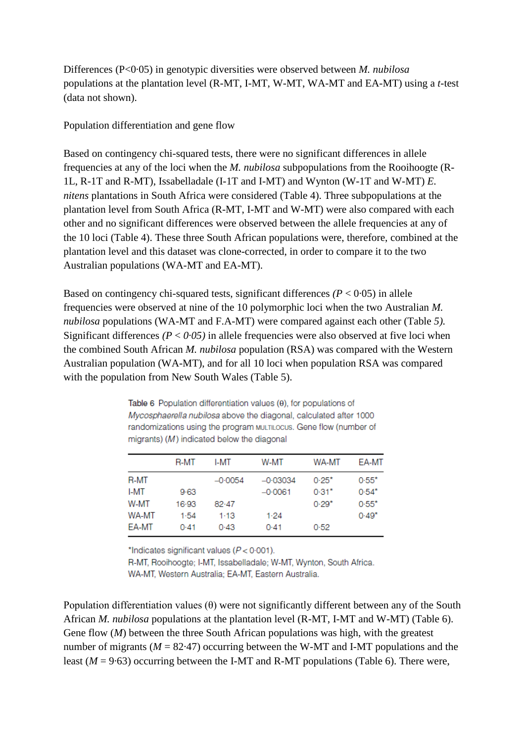Differences (P<0·05) in genotypic diversities were observed between *M. nubilosa*  populations at the plantation level (R-MT, I-MT, W-MT, WA-MT and EA-MT) using a *t*-test (data not shown).

Population differentiation and gene flow

Based on contingency chi-squared tests, there were no significant differences in allele frequencies at any of the loci when the *M. nubilosa* subpopulations from the Rooihoogte (R-1L, R-1T and R-MT), Issabelladale (I-1T and I-MT) and Wynton (W-1T and W-MT) *E. nitens* plantations in South Africa were considered (Table 4). Three subpopulations at the plantation level from South Africa (R-MT, I-MT and W-MT) were also compared with each other and no significant differences were observed between the allele frequencies at any of the 10 loci (Table 4). These three South African populations were, therefore, combined at the plantation level and this dataset was clone-corrected, in order to compare it to the two Australian populations (WA-MT and EA-MT).

Based on contingency chi-squared tests, significant differences  $(P < 0.05)$  in allele frequencies were observed at nine of the 10 polymorphic loci when the two Australian *M. nubilosa* populations (WA-MT and F.A-MT) were compared against each other (Table *5).*  Significant differences  $(P < 0.05)$  in allele frequencies were also observed at five loci when the combined South African *M. nubilosa* population (RSA) was compared with the Western Australian population (WA-MT), and for all 10 loci when population RSA was compared with the population from New South Wales (Table 5).

Table 6 Population differentiation values (0), for populations of Mycosphaerella nubilosa above the diagonal, calculated after 1000 randomizations using the program MULTILOCUS. Gene flow (number of migrants) (M) indicated below the diagonal

|       | R-MT    | I-MT      | W-MT       | WA-MT   | EA-MT   |
|-------|---------|-----------|------------|---------|---------|
| R-MT  |         | $-0.0054$ | $-0.03034$ | $0.25*$ | $0.55*$ |
| I-MT  | 9.63    |           | $-0.0061$  | $0.31*$ | $0.54*$ |
| W-MT  | $16-93$ | 82.47     |            | $0.29*$ | $0.55*$ |
| WA-MT | 1.54    | $1-13$    | 1.24       |         | $0.49*$ |
| EA-MT | 0.41    | 0.43      | 0.41       | 0.52    |         |
|       |         |           |            |         |         |

\*Indicates significant values ( $P < 0.001$ ).

R-MT, Rooihoogte; I-MT, Issabelladale; W-MT, Wynton, South Africa. WA-MT, Western Australia; EA-MT, Eastern Australia.

Population differentiation values (θ) were not significantly different between any of the South African *M. nubilosa* populations at the plantation level (R-MT, I-MT and W-MT) (Table 6). Gene flow (*M*) between the three South African populations was high, with the greatest number of migrants ( $M = 82.47$ ) occurring between the W-MT and I-MT populations and the least  $(M = 9.63)$  occurring between the I-MT and R-MT populations (Table 6). There were,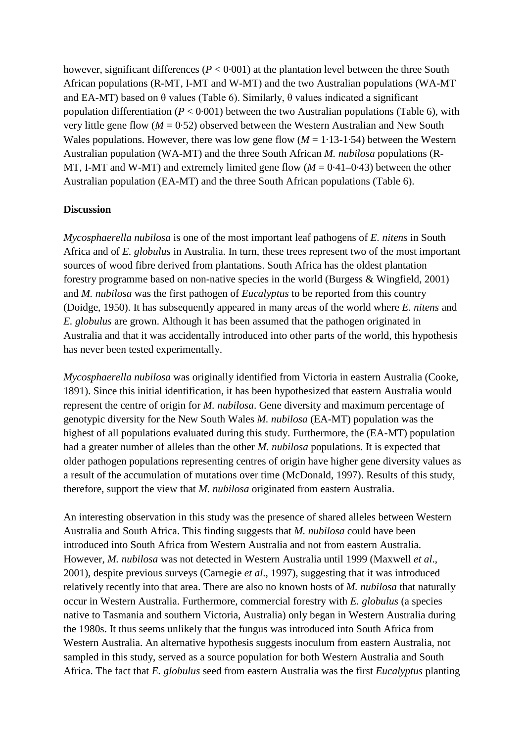however, significant differences  $(P < 0.001)$  at the plantation level between the three South African populations (R-MT, I-MT and W-MT) and the two Australian populations (WA-MT and EA-MT) based on  $\theta$  values (Table 6). Similarly,  $\theta$  values indicated a significant population differentiation ( $P < 0.001$ ) between the two Australian populations (Table 6), with very little gene flow  $(M = 0.52)$  observed between the Western Australian and New South Wales populations. However, there was low gene flow  $(M = 1.13-1.54)$  between the Western Australian population (WA-MT) and the three South African *M. nubilosa* populations (R-MT, I-MT and W-MT) and extremely limited gene flow  $(M = 0.41 - 0.43)$  between the other Australian population (EA-MT) and the three South African populations (Table 6).

### **Discussion**

*Mycosphaerella nubilosa* is one of the most important leaf pathogens of *E. nitens* in South Africa and of *E. globulus* in Australia. In turn, these trees represent two of the most important sources of wood fibre derived from plantations. South Africa has the oldest plantation forestry programme based on non-native species in the world (Burgess & Wingfield, 2001) and *M. nubilosa* was the first pathogen of *Eucalyptus* to be reported from this country (Doidge, 1950). It has subsequently appeared in many areas of the world where *E. nitens* and *E. globulus* are grown. Although it has been assumed that the pathogen originated in Australia and that it was accidentally introduced into other parts of the world, this hypothesis has never been tested experimentally.

*Mycosphaerella nubilosa* was originally identified from Victoria in eastern Australia (Cooke, 1891). Since this initial identification, it has been hypothesized that eastern Australia would represent the centre of origin for *M. nubilosa*. Gene diversity and maximum percentage of genotypic diversity for the New South Wales *M. nubilosa* (EA-MT) population was the highest of all populations evaluated during this study. Furthermore, the (EA-MT) population had a greater number of alleles than the other *M. nubilosa* populations. It is expected that older pathogen populations representing centres of origin have higher gene diversity values as a result of the accumulation of mutations over time (McDonald, 1997). Results of this study, therefore, support the view that *M. nubilosa* originated from eastern Australia.

An interesting observation in this study was the presence of shared alleles between Western Australia and South Africa. This finding suggests that *M. nubilosa* could have been introduced into South Africa from Western Australia and not from eastern Australia. However, *M. nubilosa* was not detected in Western Australia until 1999 (Maxwell *et al*., 2001), despite previous surveys (Carnegie *et al*., 1997), suggesting that it was introduced relatively recently into that area. There are also no known hosts of *M. nubilosa* that naturally occur in Western Australia. Furthermore, commercial forestry with *E. globulus* (a species native to Tasmania and southern Victoria, Australia) only began in Western Australia during the 1980s. It thus seems unlikely that the fungus was introduced into South Africa from Western Australia. An alternative hypothesis suggests inoculum from eastern Australia, not sampled in this study, served as a source population for both Western Australia and South Africa. The fact that *E. globulus* seed from eastern Australia was the first *Eucalyptus* planting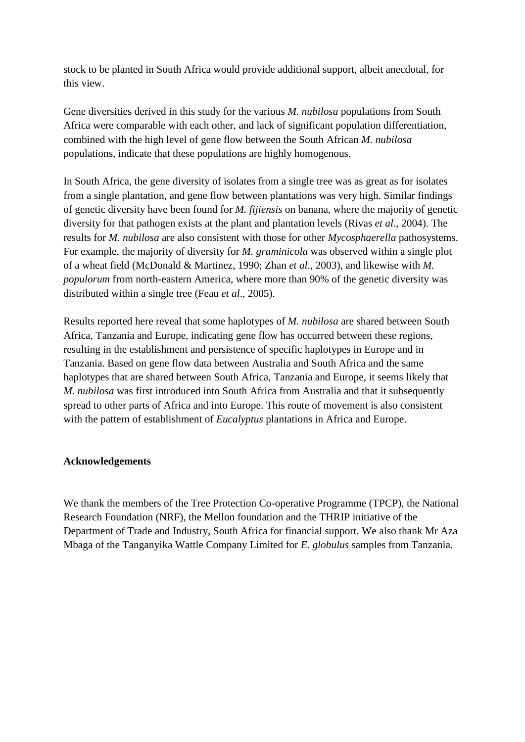stock to be planted in South Africa would provide additional support, albeit anecdotal, for this view.

Gene diversities derived in this study for the various *M. nubilosa* populations from South Africa were comparable with each other, and lack of significant population differentiation, combined with the high level of gene flow between the South African *M. nubilosa*  populations, indicate that these populations are highly homogenous.

In South Africa, the gene diversity of isolates from a single tree was as great as for isolates from a single plantation, and gene flow between plantations was very high. Similar findings of genetic diversity have been found for *M. fijiensis* on banana, where the majority of genetic diversity for that pathogen exists at the plant and plantation levels (Rivas *et al*., 2004). The results for *M. nubilosa* are also consistent with those for other *Mycosphaerella* pathosystems. For example, the majority of diversity for *M. graminicola* was observed within a single plot of a wheat field (McDonald & Martinez, 1990; Zhan *et al*., 2003), and likewise with *M. populorum* from north-eastern America, where more than 90% of the genetic diversity was distributed within a single tree (Feau *et al*., 2005).

Results reported here reveal that some haplotypes of *M. nubilosa* are shared between South Africa, Tanzania and Europe, indicating gene flow has occurred between these regions, resulting in the establishment and persistence of specific haplotypes in Europe and in Tanzania. Based on gene flow data between Australia and South Africa and the same haplotypes that are shared between South Africa, Tanzania and Europe, it seems likely that *M. nubilosa* was first introduced into South Africa from Australia and that it subsequently spread to other parts of Africa and into Europe. This route of movement is also consistent with the pattern of establishment of *Eucalyptus* plantations in Africa and Europe.

### **Acknowledgements**

We thank the members of the Tree Protection Co-operative Programme (TPCP), the National Research Foundation (NRF), the Mellon foundation and the THRIP initiative of the Department of Trade and Industry, South Africa for financial support. We also thank Mr Aza Mbaga of the Tanganyika Wattle Company Limited for *E. globulus* samples from Tanzania.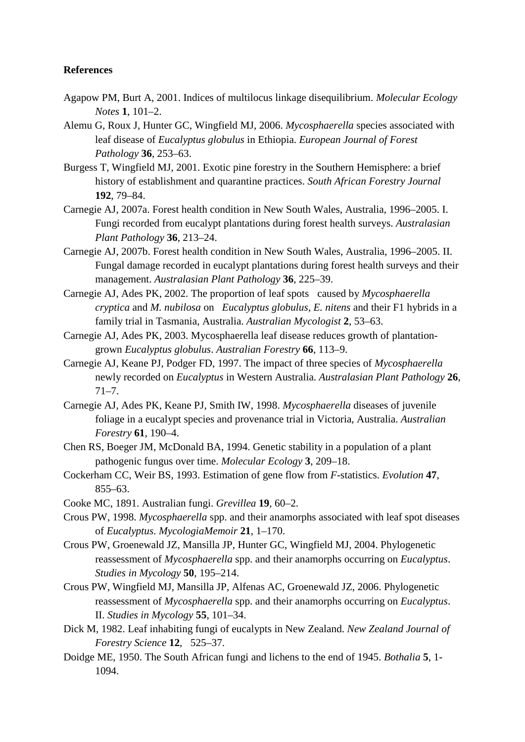### **References**

- Agapow PM, Burt A, 2001. Indices of multilocus linkage disequilibrium. *Molecular Ecology Notes* **1**, 101–2.
- Alemu G, Roux J, Hunter GC, Wingfield MJ, 2006. *Mycosphaerella* species associated with leaf disease of *Eucalyptus globulus* in Ethiopia. *European Journal of Forest Pathology* **36**, 253–63.
- Burgess T, Wingfield MJ, 2001. Exotic pine forestry in the Southern Hemisphere: a brief history of establishment and quarantine practices. *South African Forestry Journal*  **192**, 79–84.
- Carnegie AJ, 2007a. Forest health condition in New South Wales, Australia, 1996–2005. I. Fungi recorded from eucalypt plantations during forest health surveys. *Australasian Plant Pathology* **36**, 213–24.
- Carnegie AJ, 2007b. Forest health condition in New South Wales, Australia, 1996–2005. II. Fungal damage recorded in eucalypt plantations during forest health surveys and their management. *Australasian Plant Pathology* **36**, 225–39.
- Carnegie AJ, Ades PK, 2002. The proportion of leaf spots caused by *Mycosphaerella cryptica* and *M. nubilosa* on *Eucalyptus globulus*, *E. nitens* and their F1 hybrids in a family trial in Tasmania, Australia. *Australian Mycologist* **2**, 53–63.
- Carnegie AJ, Ades PK, 2003. Mycosphaerella leaf disease reduces growth of plantationgrown *Eucalyptus globulus*. *Australian Forestry* **66**, 113–9.
- Carnegie AJ, Keane PJ, Podger FD, 1997. The impact of three species of *Mycosphaerella*  newly recorded on *Eucalyptus* in Western Australia. *Australasian Plant Pathology* **26**, 71–7.
- Carnegie AJ, Ades PK, Keane PJ, Smith IW, 1998. *Mycosphaerella* diseases of juvenile foliage in a eucalypt species and provenance trial in Victoria, Australia. *Australian Forestry* **61**, 190–4.
- Chen RS, Boeger JM, McDonald BA, 1994. Genetic stability in a population of a plant pathogenic fungus over time. *Molecular Ecology* **3**, 209–18.
- Cockerham CC, Weir BS, 1993. Estimation of gene flow from *F*-statistics. *Evolution* **47**, 855–63.
- Cooke MC, 1891. Australian fungi. *Grevillea* **19**, 60–2.
- Crous PW, 1998. *Mycosphaerella* spp. and their anamorphs associated with leaf spot diseases of *Eucalyptus*. *MycologiaMemoir* **21**, 1–170.
- Crous PW, Groenewald JZ, Mansilla JP, Hunter GC, Wingfield MJ, 2004. Phylogenetic reassessment of *Mycosphaerella* spp. and their anamorphs occurring on *Eucalyptus*. *Studies in Mycology* **50**, 195–214.
- Crous PW, Wingfield MJ, Mansilla JP, Alfenas AC, Groenewald JZ, 2006. Phylogenetic reassessment of *Mycosphaerella* spp. and their anamorphs occurring on *Eucalyptus*. II. *Studies in Mycology* **55**, 101–34.
- Dick M, 1982. Leaf inhabiting fungi of eucalypts in New Zealand. *New Zealand Journal of Forestry Science* **12**, 525–37.
- Doidge ME, 1950. The South African fungi and lichens to the end of 1945. *Bothalia* **5**, 1- 1094.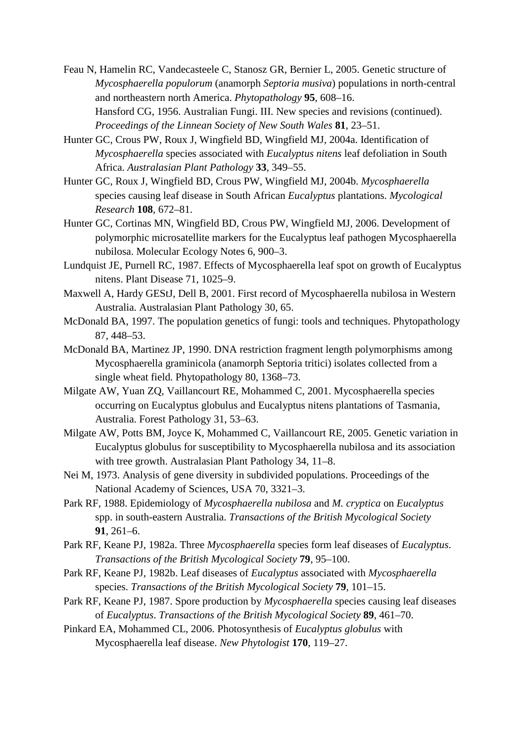- Feau N, Hamelin RC, Vandecasteele C, Stanosz GR, Bernier L, 2005. Genetic structure of *Mycosphaerella populorum* (anamorph *Septoria musiva*) populations in north-central and northeastern north America. *Phytopathology* **95**, 608–16. Hansford CG, 1956. Australian Fungi. III. New species and revisions (continued). *Proceedings of the Linnean Society of New South Wales* **81**, 23–51.
- Hunter GC, Crous PW, Roux J, Wingfield BD, Wingfield MJ, 2004a. Identification of *Mycosphaerella* species associated with *Eucalyptus nitens* leaf defoliation in South Africa. *Australasian Plant Pathology* **33**, 349–55.
- Hunter GC, Roux J, Wingfield BD, Crous PW, Wingfield MJ, 2004b. *Mycosphaerella*  species causing leaf disease in South African *Eucalyptus* plantations. *Mycological Research* **108**, 672–81.
- Hunter GC, Cortinas MN, Wingfield BD, Crous PW, Wingfield MJ, 2006. Development of polymorphic microsatellite markers for the Eucalyptus leaf pathogen Mycosphaerella nubilosa. Molecular Ecology Notes 6, 900–3.
- Lundquist JE, Purnell RC, 1987. Effects of Mycosphaerella leaf spot on growth of Eucalyptus nitens. Plant Disease 71, 1025–9.
- Maxwell A, Hardy GEStJ, Dell B, 2001. First record of Mycosphaerella nubilosa in Western Australia. Australasian Plant Pathology 30, 65.
- McDonald BA, 1997. The population genetics of fungi: tools and techniques. Phytopathology 87, 448–53.
- McDonald BA, Martinez JP, 1990. DNA restriction fragment length polymorphisms among Mycosphaerella graminicola (anamorph Septoria tritici) isolates collected from a single wheat field. Phytopathology 80, 1368–73.
- Milgate AW, Yuan ZQ, Vaillancourt RE, Mohammed C, 2001. Mycosphaerella species occurring on Eucalyptus globulus and Eucalyptus nitens plantations of Tasmania, Australia. Forest Pathology 31, 53–63.
- Milgate AW, Potts BM, Joyce K, Mohammed C, Vaillancourt RE, 2005. Genetic variation in Eucalyptus globulus for susceptibility to Mycosphaerella nubilosa and its association with tree growth. Australasian Plant Pathology 34, 11–8.
- Nei M, 1973. Analysis of gene diversity in subdivided populations. Proceedings of the National Academy of Sciences, USA 70, 3321–3.
- Park RF, 1988. Epidemiology of *Mycosphaerella nubilosa* and *M. cryptica* on *Eucalyptus*  spp. in south-eastern Australia. *Transactions of the British Mycological Society* **91**, 261–6.
- Park RF, Keane PJ, 1982a. Three *Mycosphaerella* species form leaf diseases of *Eucalyptus*. *Transactions of the British Mycological Society* **79**, 95–100.
- Park RF, Keane PJ, 1982b. Leaf diseases of *Eucalyptus* associated with *Mycosphaerella*  species. *Transactions of the British Mycological Society* **79**, 101–15.
- Park RF, Keane PJ, 1987. Spore production by *Mycosphaerella* species causing leaf diseases of *Eucalyptus*. *Transactions of the British Mycological Society* **89**, 461–70.
- Pinkard EA, Mohammed CL, 2006. Photosynthesis of *Eucalyptus globulus* with Mycosphaerella leaf disease. *New Phytologist* **170**, 119–27.